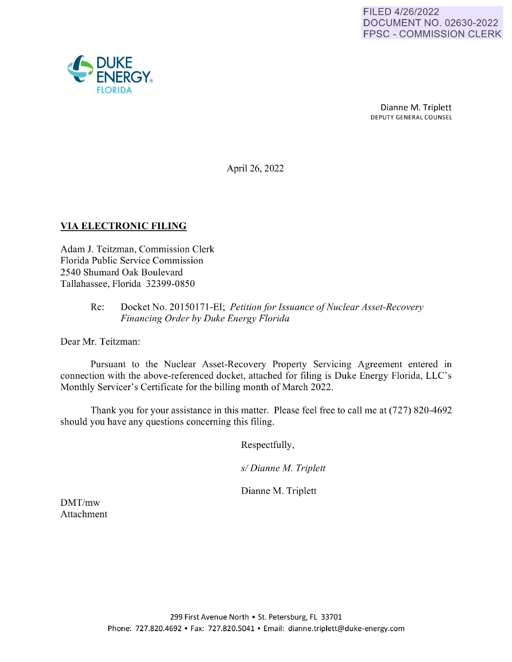

Dianne M. Triplett DEPUTY GENERAL COUNSEL

April 26, 2022

# **VIA ELECTRONIC FILING**

Adam J. Teitzman, Commission Clerk Florida Public Service Commission 2540 Shumard Oak Boulevard Tallahassee, Florida 32399-0850

### Re: Docket No. 20150171-EI; *Petition for Issuance of Nuclear Asset-Recovery Financing Order by Duke Energy Florida*

Dear Mr. Teitzman:

Pursuant to the Nuclear Asset-Recovery Property Servicing Agreement entered in connection with the above-referenced docket, attached for filing is Duke Energy Florida, LLC's Monthly Servicer's Certificate for the billing month of March 2022.

Thank you for your assistance in this matter. Please feel free to call me at (727) 820-4692 should you have any questions concerning this filing.

Respectfully,

*s/ Dianne M. Triplett* 

Dianne M. Triplett

DMT/mw Attachment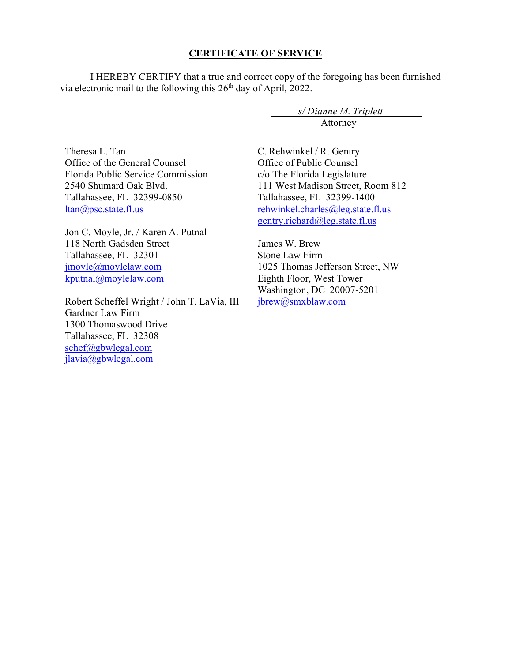## **CERTIFICATE OF SERVICE**

I HEREBY CERTIFY that a true and correct copy of the foregoing has been furnished via electronic mail to the following this 26<sup>th</sup> day of April, 2022.

|                                             | $s/Di$ anne M. Triplett           |  |  |  |
|---------------------------------------------|-----------------------------------|--|--|--|
|                                             | Attorney                          |  |  |  |
|                                             |                                   |  |  |  |
| Theresa L. Tan                              | C. Rehwinkel / R. Gentry          |  |  |  |
| Office of the General Counsel               | Office of Public Counsel          |  |  |  |
| Florida Public Service Commission           | c/o The Florida Legislature       |  |  |  |
| 2540 Shumard Oak Blvd.                      | 111 West Madison Street, Room 812 |  |  |  |
| Tallahassee, FL 32399-0850                  | Tallahassee, FL 32399-1400        |  |  |  |
| $ltan(\omega)$ psc.state.fl.us              | rehwinkel.charles@leg.state.fl.us |  |  |  |
|                                             | gentry.richard@leg.state.fl.us    |  |  |  |
| Jon C. Moyle, Jr. / Karen A. Putnal         |                                   |  |  |  |
| 118 North Gadsden Street                    | James W. Brew                     |  |  |  |
| Tallahassee, FL 32301                       | Stone Law Firm                    |  |  |  |
| jmoyle@moylelaw.com                         | 1025 Thomas Jefferson Street, NW  |  |  |  |
| $k$ putnal@moylelaw.com                     | Eighth Floor, West Tower          |  |  |  |
|                                             | Washington, DC 20007-5201         |  |  |  |
| Robert Scheffel Wright / John T. LaVia, III | ibrew@smxblaw.com                 |  |  |  |
| Gardner Law Firm                            |                                   |  |  |  |
| 1300 Thomaswood Drive                       |                                   |  |  |  |
| Tallahassee, FL 32308                       |                                   |  |  |  |
| schef@gbwlegal.com                          |                                   |  |  |  |
| ilavia@gbwlegal.com                         |                                   |  |  |  |
|                                             |                                   |  |  |  |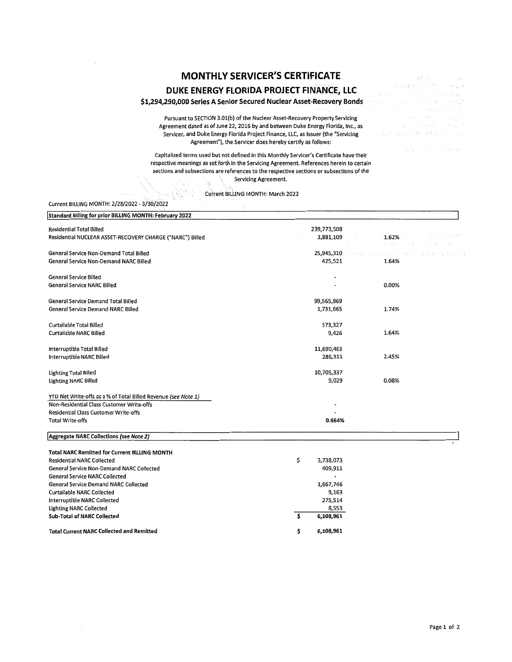# **MONTHLY SERVICER'S CERTIFICATE DUKE ENERGY FLORIDA PROJECT FINANCE, LLC**

### **\$1,294,290,000 Series A Senior Secured Nuclear Asset-Recovery Bonds**

Pursuant to SECTION 3.0l(b) of the Nuclear Asset-Recovery Property Servicing Agreement dated as of June 22, 2016 by and between Duke Energy Florida, Inc., as Servicer, and Duke Energy Florida Project Finance, LLC, as Issuer (the "Servicing and all services of the service of the service of the service of the service of the service of the service of the service of the service of Agreement"), the Servicer does hereby certify as follows:

Capitalized terms used but not defined in this Monthly Servicer's Certificate have their respective meanings as set forth in the Servicing Agreement. References herein to certain sections and subsections are references to the respective sections or subsections of the Servicing Agreement. 隐

|                                                                                           | Current BILLING MONTH: March 2022 |             |                     |                   |
|-------------------------------------------------------------------------------------------|-----------------------------------|-------------|---------------------|-------------------|
| Current BILLING MONTH: 2/28/2022 - 3/30/2022                                              |                                   |             |                     |                   |
| Standard Billing for prior BILLING MONTH: February 2022                                   |                                   |             |                     |                   |
| Residential Total Billed                                                                  |                                   | 239,773,508 |                     |                   |
| Residential NUCLEAR ASSET-RECOVERY CHARGE ("NARC") Billed                                 |                                   | 3,881,109   | 1.62%<br>ti Atricia |                   |
| General Service Non-Demand Total Billed                                                   |                                   | 25,945,310  | 医乳糜性咽炎 人名英麦克尔       | 20% PBM 3 (1) 数据: |
| General Service Non-Demand NARC Billed                                                    |                                   | 425,521     | 1.64%               |                   |
| <b>General Service Billed</b>                                                             |                                   |             |                     |                   |
| General Service NARC Billed                                                               |                                   |             | 0.00%               |                   |
| General Service Demand Total Billed                                                       |                                   | 99,565,869  |                     |                   |
| <b>General Service Demand NARC Billed</b>                                                 |                                   | 1,731,665   | 1.74%               |                   |
| <b>Curtailable Total Billed</b>                                                           |                                   | 573,327     |                     |                   |
| <b>Curtailable NARC Billed</b>                                                            |                                   | 9,426       | 1.64%               |                   |
| Interruptible Total Billed                                                                |                                   | 11,690,483  |                     |                   |
| Interruptible NARC Billed                                                                 |                                   | 286,311     | 2.45%               |                   |
| <b>Lighting Total Billed</b>                                                              |                                   | 10,705,337  |                     |                   |
| <b>Lighting NARC Billed</b>                                                               |                                   | 9,029       | 0.08%               |                   |
| YTD Net Write-offs as a % of Total Billed Revenue (see Note 1)                            |                                   |             |                     |                   |
| Non-Residential Class Customer Write-offs<br>Residential Class Customer Write-offs        |                                   |             |                     |                   |
| <b>Total Write-offs</b>                                                                   |                                   | 0.664%      |                     |                   |
| Aggregate NARC Collections (see Note 2)                                                   |                                   |             |                     |                   |
|                                                                                           |                                   |             |                     |                   |
| <b>Total NARC Remitted for Current BILLING MONTH</b><br><b>Residential NARC Collected</b> | \$                                | 3,738,073   |                     |                   |
| <b>General Service Non-Demand NARC Collected</b>                                          |                                   | 409,911     |                     |                   |
| <b>General Service NARC Collected</b>                                                     |                                   |             |                     |                   |
| <b>General Service Demand NARC Collected</b>                                              |                                   | 1,667,746   |                     |                   |
| <b>Curtailable NARC Collected</b>                                                         |                                   | 9,163       |                     |                   |
| Interruptible NARC Collected                                                              |                                   | 275,514     |                     |                   |
| <b>Lighting NARC Collected</b>                                                            |                                   | 8,553       |                     |                   |
| <b>Sub-Total of NARC Collected</b>                                                        | \$.                               | 6,108,961   |                     |                   |
| <b>Total Current NARC Collected and Remitted</b>                                          | \$                                | 6,108,961   |                     |                   |

**2012年4月1日 经**通用 计图 特林